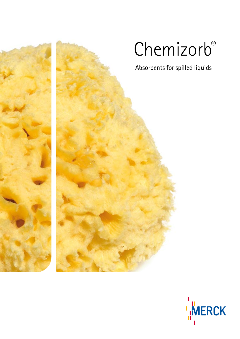

# Chemizorb®

Absorbents for spilled liquids

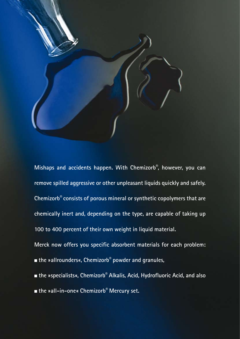

**Mishaps and accidents happen. With Chemizorb®, however, you can remove spilled aggressive or other unpleasant liquids quickly and safely. Chemizorb® consists of porous mineral or synthetic copolymers that are chemically inert and, depending on the type, are capable of taking up 100 to 400 percent of their own weight in liquid material.**

**Merck now offers you specific absorbent materials for each problem:** ■ **the »allrounders«, Chemizorb®** powder and granules,

- **the »specialists«, Chemizorb® Alkalis, Acid, Hydrofluoric Acid, and also**
- **the »all-in-one« Chemizorb® Mercury set.**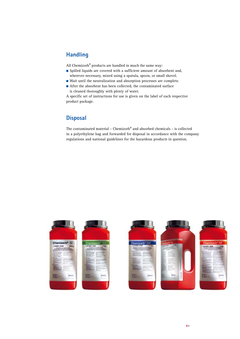## **Handling**

All Chemizorb<sup>®</sup> products are handled in much the same way:

- Spilled liquids are covered with a sufficient amount of absorbent and, wherever necessary, mixed using a spatula, spoon, or small shovel.
- Wait until the neutralization and absorption processes are complete.
- After the absorbent has been collected, the contaminated surface is cleaned thoroughly with plenty of water.

A specific set of instructions for use is given on the label of each respective product package.

## **Disposal**

The contaminated material – Chemizorb® and absorbed chemicals – is collected in a polyethylene bag and forwarded for disposal in accordance with the company regulations and national guidelines for the hazardous products in question.



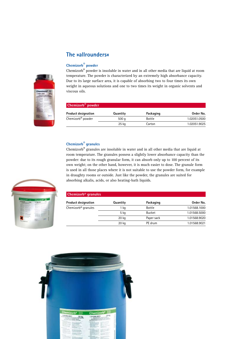# **The »allrounders«**

### **Chemizorb® powder**



| Chemizorb <sup>®</sup> powder |          |           |              |
|-------------------------------|----------|-----------|--------------|
| <b>Product designation</b>    | Quantity | Packaging | Order No.    |
| Chemizorb® powder             | 500q     | Bottle    | 1.02051.0500 |
|                               | 25 kg    | Carton    | 1.02051.9025 |

## **Chemizorb® granules**

Chemizorb® granules are insoluble in water and in all other media that are liquid at room temperature. The granules possess a slightly lower absorbance capacity than the powder: due to its rough granular form, it can absorb only up to 100 percent of its own weight; on the other hand, however, it is much easier to dose. The granule form is used in all those places where it is not suitable to use the powder form, for example in draughty rooms or outside. Just like the powder, the granules are suited for absorbing alkalis, acids, or also heating-bath liquids.

| <b>Chemizorb<sup>®</sup></b> granules |          |               |              |
|---------------------------------------|----------|---------------|--------------|
| <b>Product designation</b>            | Quantity | Packaging     | Order No.    |
| Chemizorb <sup>®</sup> granules       | 1 ka     | <b>Bottle</b> | 1.01568.1000 |
|                                       | 5 kg     | <b>Bucket</b> | 1.01568.5000 |
|                                       | 20 kg    | Paper sack    | 1.01568.9020 |
|                                       | 20 kg    | PE drum       | 1.01568.9021 |





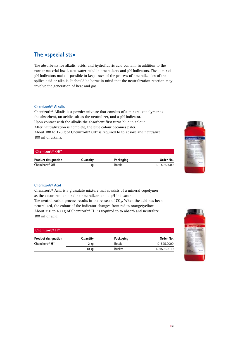## **The »specialists«**

The absorbents for alkalis, acids, and hydrofluoric acid contain, in addition to the carrier material itself, also water-soluble neutralizers and pH indicators. The admixed pH indicators make it possible to keep track of the process of neutralization of the spilled acid or alkalis. It should be borne in mind that the neutralization reaction may involve the generation of heat and gas.

#### **Chemizorb® Alkalis**

Chemizorb® Alkalis is a powder mixture that consists of a mineral copolymer as the absorbent, an acidic salt as the neutralizer, and a pH indicator. Upon contact with the alkalis the absorbent first turns blue in colour. After neutralization is complete, the blue colour becomes paler. About 100 to 120 g of Chemizorb<sup>®</sup>  $OH^-$  is required to to absorb and neutralize 100 ml of alkalis.

#### **Chemizorb® OH–**

| <b>Product designation</b>             | Quantity | Packaging | Order No.    |
|----------------------------------------|----------|-----------|--------------|
| Chemizorb <sup>®</sup> OH <sup>-</sup> | kq       | Bottle    | 1.01596.1000 |



#### **Chemizorb® Acid**

Chemizorb® Acid is a granulate mixture that consists of a mineral copolymer as the absorbent, an alkaline neutralizer, and a pH indicator.

The neutralization process results in the release of  $CO<sub>2</sub>$ . When the acid has been neutralized, the colour of the indicator changes from red to orange/yellow. About 350 to 400 g of Chemizorb®  $H^+$  is required to to absorb and neutralize 100 ml of acid.

| Chemizorb <sup>®</sup> $H^+$          |                  |               |              |
|---------------------------------------|------------------|---------------|--------------|
| <b>Product designation</b>            | Quantity         | Packaging     | Order No.    |
| Chemizorb <sup>®</sup> H <sup>+</sup> | 2 kg             | <b>Bottle</b> | 1.01595.2000 |
|                                       | 10 <sub>kq</sub> | <b>Bucket</b> | 1.01595.9010 |

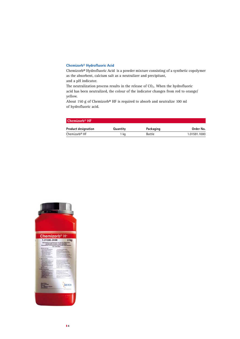#### **Chemizorb® Hydrofluoric Acid**

Chemizorb® Hydrofluoric Acid is a powder mixture consisting of a synthetic copolymer as the absorbent, calcium salt as a neutralizer and precipitant, and a pH indicator.

The neutralization process results in the release of  $CO<sub>2</sub>$ . When the hydrofluoric acid has been neutralized, the colour of the indicator changes from red to orange/ yellow.

About 150 g of Chemizorb® HF is required to absorb and neutralize 100 ml of hydrofluoric acid.

| Chemizorb® HF              |          |               |              |
|----------------------------|----------|---------------|--------------|
| <b>Product designation</b> | Quantity | Packaging     | Order No.    |
| Chemizorb® HF              | 1 ka     | <b>Bottle</b> | 1.01591.1000 |

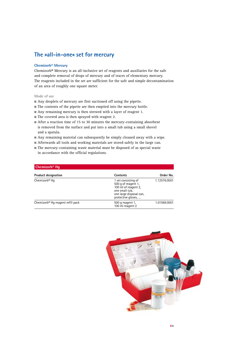## **The »all-in-one« set for mercury**

#### **Chemizorb® Mercury**

Chemizorb® Mercury is an all-inclusive set of reagents and auxiliaries for the safe and complete removal of drops of mercury and of traces of elementary mercury. The reagents included in the set are sufficient for the safe and simple decontamination of an area of roughly one square meter.

#### **Mode of use**

- Any droplets of mercury are first suctioned off using the pipette.
- The contents of the pipette are then emptied into the mercury bottle.
- Any remaining mercury is then strewed with a layer of reagent 1.
- $\blacksquare$  The covered area is then sprayed with reagent 2.
- After a reaction time of 15 to 30 minutes the mercury-containing absorbent is removed from the surface and put into a small tub using a small shovel and a spatula.
- Any remaining material can subsequently be simply cleaned away with a wipe.
- Afterwards all tools and working materials are stored safely in the large can.
- The mercury-containing waste material must be disposed of as special waste in accordance with the official regulations.

| Chemizorb <sup>®</sup> Hq                     |                                                                                                                                       |              |
|-----------------------------------------------|---------------------------------------------------------------------------------------------------------------------------------------|--------------|
| <b>Product designation</b>                    | Contents                                                                                                                              | Order No.    |
| Chemizorb <sup>®</sup> Hq                     | 1 set consisting of<br>500 g of reagent 1,<br>100 ml of reagent 2.<br>one small tub,<br>one large disposal can,<br>protective gloves, | 1.12576.0001 |
| Chemizorb <sup>®</sup> Hq reagent refill pack | 500 g reagent 1,<br>100 ml reagent 2                                                                                                  | 1.01569.0001 |